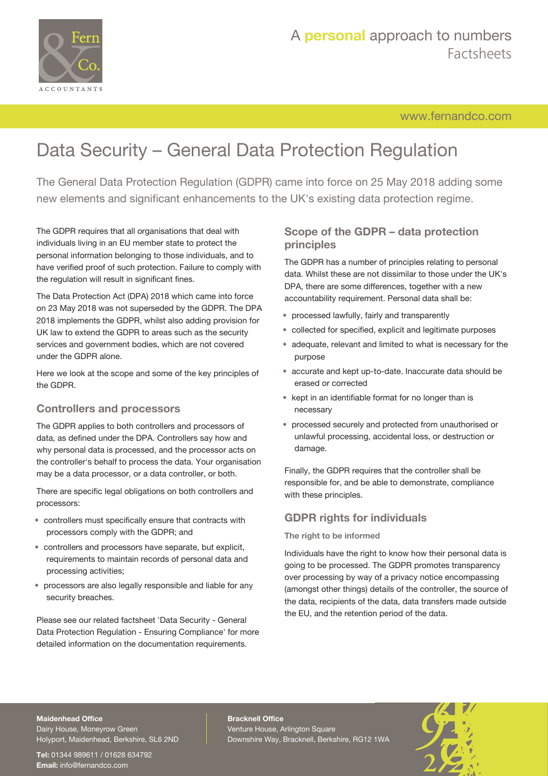

[www.fernandco.com](http://www.fernandco.com)

# Data Security – General Data Protection Regulation

The General Data Protection Regulation (GDPR) came into force on 25 May 2018 adding some new elements and significant enhancements to the UK's existing data protection regime.

The GDPR requires that all organisations that deal with individuals living in an EU member state to protect the personal information belonging to those individuals, and to have verified proof of such protection. Failure to comply with the regulation will result in significant fines.

The Data Protection Act (DPA) 2018 which came into force on 23 May 2018 was not superseded by the GDPR. The DPA 2018 implements the GDPR, whilst also adding provision for UK law to extend the GDPR to areas such as the security services and government bodies, which are not covered under the GDPR alone.

Here we look at the scope and some of the key principles of the GDPR.

## **Controllers and processors**

The GDPR applies to both controllers and processors of data, as defined under the DPA. Controllers say how and why personal data is processed, and the processor acts on the controller's behalf to process the data. Your organisation may be a data processor, or a data controller, or both.

There are specific legal obligations on both controllers and processors:

- controllers must specifically ensure that contracts with processors comply with the GDPR; and
- controllers and processors have separate, but explicit, requirements to maintain records of personal data and processing activities;
- processors are also legally responsible and liable for any security breaches.

Please see our related factsheet 'Data Security - General Data Protection Regulation - Ensuring Compliance' for more detailed information on the documentation requirements.

## **Scope of the GDPR – data protection principles**

The GDPR has a number of principles relating to personal data. Whilst these are not dissimilar to those under the UK's DPA, there are some differences, together with a new accountability requirement. Personal data shall be:

- processed lawfully, fairly and transparently
- collected for specified, explicit and legitimate purposes
- adequate, relevant and limited to what is necessary for the purpose
- accurate and kept up-to-date. Inaccurate data should be erased or corrected
- kept in an identifiable format for no longer than is necessary
- processed securely and protected from unauthorised or unlawful processing, accidental loss, or destruction or damage.

Finally, the GDPR requires that the controller shall be responsible for, and be able to demonstrate, compliance with these principles.

## **GDPR rights for individuals**

#### **The right to be informed**

Individuals have the right to know how their personal data is going to be processed. The GDPR promotes transparency over processing by way of a privacy notice encompassing (amongst other things) details of the controller, the source of the data, recipients of the data, data transfers made outside the EU, and the retention period of the data.

**Maidenhead Office**

Dairy House, Moneyrow Green Holyport, Maidenhead, Berkshire, SL6 2ND

**Tel:** 01344 989611 / 01628 634792 **Email:** [info@fernandco.com](mailto:info@fernandco.com)

**Bracknell Office** Venture House, Arlington Square Downshire Way, Bracknell, Berkshire, RG12 1WA

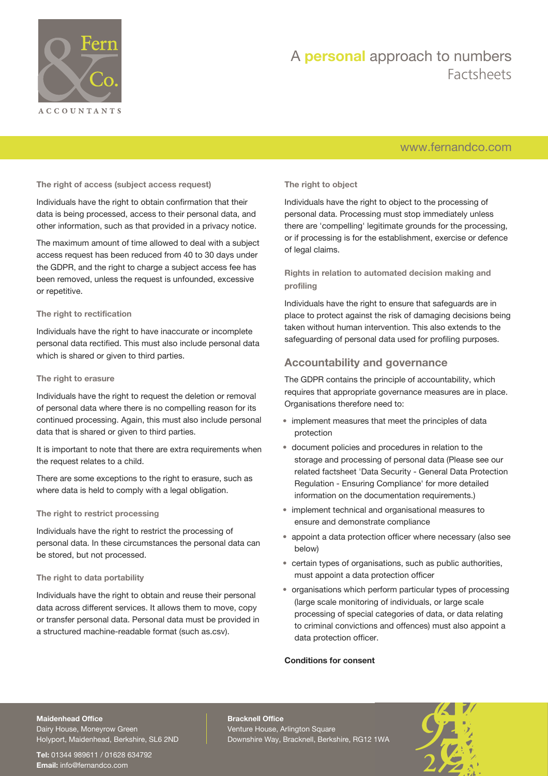

## A **personal** approach to numbers Factsheets

## [www.fernandco.com](http://www.fernandco.com)

**The right of access (subject access request)**

Individuals have the right to obtain confirmation that their data is being processed, access to their personal data, and other information, such as that provided in a privacy notice.

The maximum amount of time allowed to deal with a subject access request has been reduced from 40 to 30 days under the GDPR, and the right to charge a subject access fee has been removed, unless the request is unfounded, excessive or repetitive.

#### **The right to rectification**

Individuals have the right to have inaccurate or incomplete personal data rectified. This must also include personal data which is shared or given to third parties.

#### **The right to erasure**

Individuals have the right to request the deletion or removal of personal data where there is no compelling reason for its continued processing. Again, this must also include personal data that is shared or given to third parties.

It is important to note that there are extra requirements when the request relates to a child.

There are some exceptions to the right to erasure, such as where data is held to comply with a legal obligation.

#### **The right to restrict processing**

Individuals have the right to restrict the processing of personal data. In these circumstances the personal data can be stored, but not processed.

#### **The right to data portability**

Individuals have the right to obtain and reuse their personal data across different services. It allows them to move, copy or transfer personal data. Personal data must be provided in a structured machine-readable format (such as.csv).

#### **The right to object**

Individuals have the right to object to the processing of personal data. Processing must stop immediately unless there are 'compelling' legitimate grounds for the processing, or if processing is for the establishment, exercise or defence of legal claims.

**Rights in relation to automated decision making and profiling**

Individuals have the right to ensure that safeguards are in place to protect against the risk of damaging decisions being taken without human intervention. This also extends to the safeguarding of personal data used for profiling purposes.

### **Accountability and governance**

The GDPR contains the principle of accountability, which requires that appropriate governance measures are in place. Organisations therefore need to:

- implement measures that meet the principles of data protection
- document policies and procedures in relation to the storage and processing of personal data (Please see our related factsheet 'Data Security - General Data Protection Regulation - Ensuring Compliance' for more detailed information on the documentation requirements.)
- implement technical and organisational measures to ensure and demonstrate compliance
- appoint a data protection officer where necessary (also see below)
- certain types of organisations, such as public authorities, must appoint a data protection officer
- organisations which perform particular types of processing (large scale monitoring of individuals, or large scale processing of special categories of data, or data relating to criminal convictions and offences) must also appoint a data protection officer.

#### **Conditions for consent**

## **Maidenhead Office**

Dairy House, Moneyrow Green Holyport, Maidenhead, Berkshire, SL6 2ND

**Tel:** 01344 989611 / 01628 634792 **Email:** [info@fernandco.com](mailto:info@fernandco.com)

**Bracknell Office** Venture House, Arlington Square Downshire Way, Bracknell, Berkshire, RG12 1WA